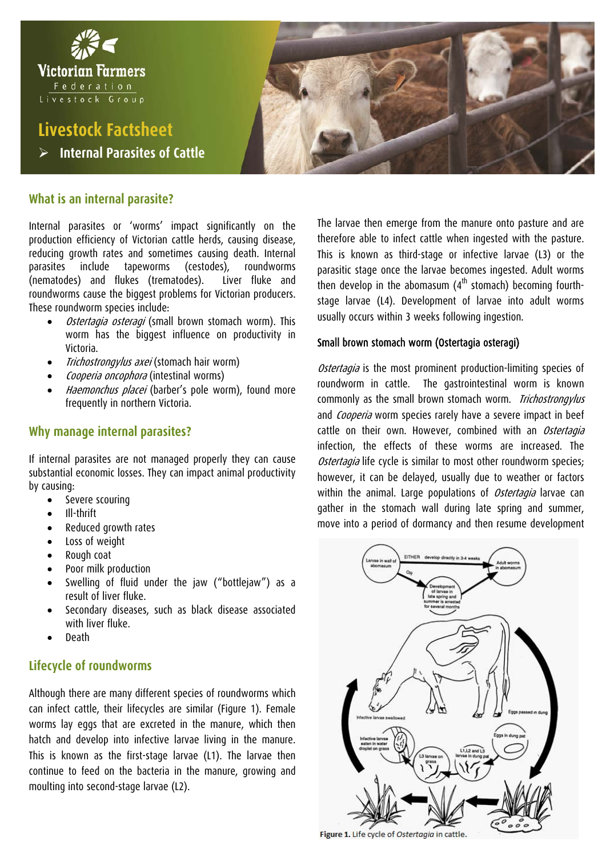

## **What is an internal parasite?**

Internal parasites or 'worms' impact significantly on the production efficiency of Victorian cattle herds, causing disease, reducing growth rates and sometimes causing death. Internal parasites include tapeworms (cestodes), roundworms (nematodes) and flukes (trematodes). Liver fluke and roundworms cause the biggest problems for Victorian producers. These roundworm species include:

- Ostertagia osteragi (small brown stomach worm). This worm has the biggest influence on productivity in Victoria.
- Trichostrongylus axei (stomach hair worm)
- Cooperia oncophora (intestinal worms)
- Haemonchus placei (barber's pole worm), found more frequently in northern Victoria.

## **Why manage internal parasites?**

If internal parasites are not managed properly they can cause substantial economic losses. They can impact animal productivity by causing:

- Severe scouring
- Ill-thrift
- Reduced growth rates
- Loss of weight
- Rough coat
- Poor milk production
- Swelling of fluid under the jaw ("bottlejaw") as a result of liver fluke.
- Secondary diseases, such as black disease associated with liver fluke.
- Death

## **Lifecycle of roundworms**

Although there are many different species of roundworms which can infect cattle, their lifecycles are similar (Figure 1). Female worms lay eggs that are excreted in the manure, which then hatch and develop into infective larvae living in the manure. This is known as the first-stage larvae (L1). The larvae then continue to feed on the bacteria in the manure, growing and moulting into second-stage larvae (L2).

The larvae then emerge from the manure onto pasture and are therefore able to infect cattle when ingested with the pasture. This is known as third-stage or infective larvae (L3) or the parasitic stage once the larvae becomes ingested. Adult worms then develop in the abomasum  $(4<sup>th</sup>$  stomach) becoming fourthstage larvae (L4). Development of larvae into adult worms usually occurs within 3 weeks following ingestion.

## Small brown stomach worm (Ostertagia osteragi)

Ostertagia is the most prominent production-limiting species of roundworm in cattle. The gastrointestinal worm is known commonly as the small brown stomach worm. *Trichostrongylus* and Cooperia worm species rarely have a severe impact in beef cattle on their own. However, combined with an Ostertagia infection, the effects of these worms are increased. The Ostertagia life cycle is similar to most other roundworm species; however, it can be delayed, usually due to weather or factors within the animal. Large populations of *Ostertagia* larvae can gather in the stomach wall during late spring and summer, move into a period of dormancy and then resume development



Figure 1. Life cycle of Ostertagia in cattle.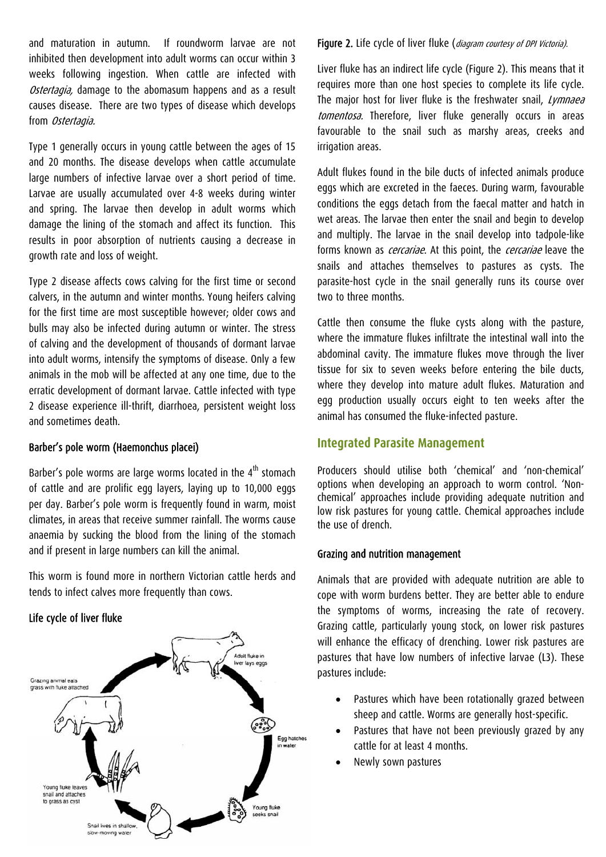and maturation in autumn. If roundworm larvae are not inhibited then development into adult worms can occur within 3 weeks following ingestion. When cattle are infected with Ostertagia, damage to the abomasum happens and as a result causes disease. There are two types of disease which develops from Ostertagia.

Type 1 generally occurs in young cattle between the ages of 15 and 20 months. The disease develops when cattle accumulate large numbers of infective larvae over a short period of time. Larvae are usually accumulated over 4-8 weeks during winter and spring. The larvae then develop in adult worms which damage the lining of the stomach and affect its function. This results in poor absorption of nutrients causing a decrease in growth rate and loss of weight.

Type 2 disease affects cows calving for the first time or second calvers, in the autumn and winter months. Young heifers calving for the first time are most susceptible however; older cows and bulls may also be infected during autumn or winter. The stress of calving and the development of thousands of dormant larvae into adult worms, intensify the symptoms of disease. Only a few animals in the mob will be affected at any one time, due to the erratic development of dormant larvae. Cattle infected with type 2 disease experience ill-thrift, diarrhoea, persistent weight loss and sometimes death.

## Barber's pole worm (Haemonchus placei)

Barber's pole worms are large worms located in the  $4<sup>th</sup>$  stomach of cattle and are prolific egg layers, laying up to 10,000 eggs per day. Barber's pole worm is frequently found in warm, moist climates, in areas that receive summer rainfall. The worms cause anaemia by sucking the blood from the lining of the stomach and if present in large numbers can kill the animal.

This worm is found more in northern Victorian cattle herds and tends to infect calves more frequently than cows.

## Life cycle of liver fluke



Figure 2. Life cycle of liver fluke (diagram courtesy of DPI Victoria).

Liver fluke has an indirect life cycle (Figure 2). This means that it requires more than one host species to complete its life cycle. The major host for liver fluke is the freshwater snail, Lymnaea tomentosa. Therefore, liver fluke generally occurs in areas favourable to the snail such as marshy areas, creeks and irrigation areas.

Adult flukes found in the bile ducts of infected animals produce eggs which are excreted in the faeces. During warm, favourable conditions the eggs detach from the faecal matter and hatch in wet areas. The larvae then enter the snail and begin to develop and multiply. The larvae in the snail develop into tadpole-like forms known as *cercariae*. At this point, the *cercariae* leave the snails and attaches themselves to pastures as cysts. The parasite-host cycle in the snail generally runs its course over two to three months.

Cattle then consume the fluke cysts along with the pasture, where the immature flukes infiltrate the intestinal wall into the abdominal cavity. The immature flukes move through the liver tissue for six to seven weeks before entering the bile ducts, where they develop into mature adult flukes. Maturation and egg production usually occurs eight to ten weeks after the animal has consumed the fluke-infected pasture.

## **Integrated Parasite Management**

Producers should utilise both 'chemical' and 'non-chemical' options when developing an approach to worm control. 'Nonchemical' approaches include providing adequate nutrition and low risk pastures for young cattle. Chemical approaches include the use of drench.

## Grazing and nutrition management

Animals that are provided with adequate nutrition are able to cope with worm burdens better. They are better able to endure the symptoms of worms, increasing the rate of recovery. Grazing cattle, particularly young stock, on lower risk pastures will enhance the efficacy of drenching. Lower risk pastures are pastures that have low numbers of infective larvae (L3). These pastures include:

- Pastures which have been rotationally grazed between sheep and cattle. Worms are generally host-specific.
- Pastures that have not been previously grazed by any cattle for at least 4 months.
- Newly sown pastures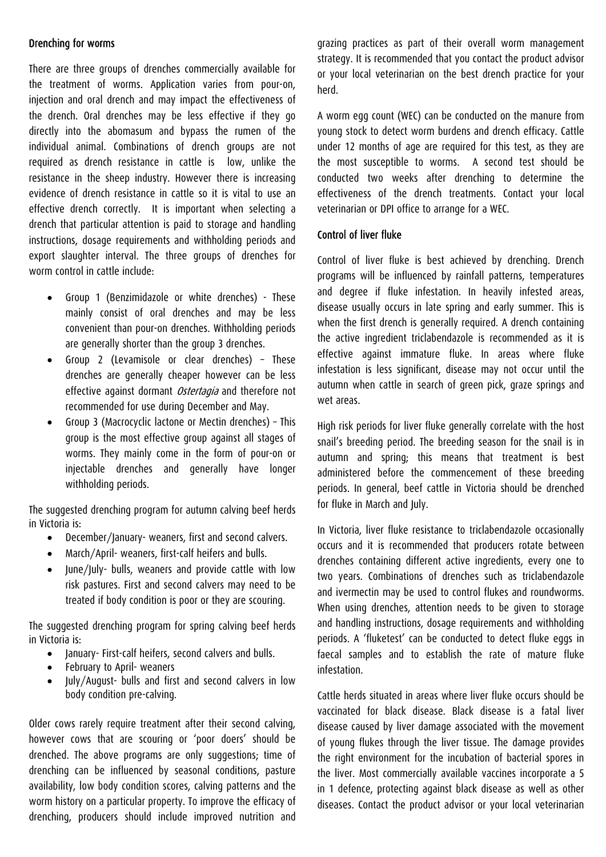## Drenching for worms

There are three groups of drenches commercially available for the treatment of worms. Application varies from pour-on, injection and oral drench and may impact the effectiveness of the drench. Oral drenches may be less effective if they go directly into the abomasum and bypass the rumen of the individual animal. Combinations of drench groups are not required as drench resistance in cattle is low, unlike the resistance in the sheep industry. However there is increasing evidence of drench resistance in cattle so it is vital to use an effective drench correctly. It is important when selecting a drench that particular attention is paid to storage and handling instructions, dosage requirements and withholding periods and export slaughter interval. The three groups of drenches for worm control in cattle include:

- Group 1 (Benzimidazole or white drenches) These mainly consist of oral drenches and may be less convenient than pour-on drenches. Withholding periods are generally shorter than the group 3 drenches.
- Group 2 (Levamisole or clear drenches) These drenches are generally cheaper however can be less effective against dormant *Ostertagia* and therefore not recommended for use during December and May.
- Group 3 (Macrocyclic lactone or Mectin drenches) This group is the most effective group against all stages of worms. They mainly come in the form of pour-on or injectable drenches and generally have longer withholding periods.

The suggested drenching program for autumn calving beef herds in Victoria is:

- December/January- weaners, first and second calvers.
- March/April- weaners, first-calf heifers and bulls.
- June/July- bulls, weaners and provide cattle with low risk pastures. First and second calvers may need to be treated if body condition is poor or they are scouring.

The suggested drenching program for spring calving beef herds in Victoria is:

- Ianuary- First-calf heifers, second calvers and bulls.
- February to April- weaners
- July/August- bulls and first and second calvers in low body condition pre-calving.

Older cows rarely require treatment after their second calving, however cows that are scouring or 'poor doers' should be drenched. The above programs are only suggestions; time of drenching can be influenced by seasonal conditions, pasture availability, low body condition scores, calving patterns and the worm history on a particular property. To improve the efficacy of drenching, producers should include improved nutrition and grazing practices as part of their overall worm management strategy. It is recommended that you contact the product advisor or your local veterinarian on the best drench practice for your herd.

A worm egg count (WEC) can be conducted on the manure from young stock to detect worm burdens and drench efficacy. Cattle under 12 months of age are required for this test, as they are the most susceptible to worms. A second test should be conducted two weeks after drenching to determine the effectiveness of the drench treatments. Contact your local veterinarian or DPI office to arrange for a WEC.

## Control of liver fluke

Control of liver fluke is best achieved by drenching. Drench programs will be influenced by rainfall patterns, temperatures and degree if fluke infestation. In heavily infested areas, disease usually occurs in late spring and early summer. This is when the first drench is generally required. A drench containing the active ingredient triclabendazole is recommended as it is effective against immature fluke. In areas where fluke infestation is less significant, disease may not occur until the autumn when cattle in search of green pick, graze springs and wet areas.

High risk periods for liver fluke generally correlate with the host snail's breeding period. The breeding season for the snail is in autumn and spring; this means that treatment is best administered before the commencement of these breeding periods. In general, beef cattle in Victoria should be drenched for fluke in March and July.

In Victoria, liver fluke resistance to triclabendazole occasionally occurs and it is recommended that producers rotate between drenches containing different active ingredients, every one to two years. Combinations of drenches such as triclabendazole and ivermectin may be used to control flukes and roundworms. When using drenches, attention needs to be given to storage and handling instructions, dosage requirements and withholding periods. A 'fluketest' can be conducted to detect fluke eggs in faecal samples and to establish the rate of mature fluke infestation.

Cattle herds situated in areas where liver fluke occurs should be vaccinated for black disease. Black disease is a fatal liver disease caused by liver damage associated with the movement of young flukes through the liver tissue. The damage provides the right environment for the incubation of bacterial spores in the liver. Most commercially available vaccines incorporate a 5 in 1 defence, protecting against black disease as well as other diseases. Contact the product advisor or your local veterinarian